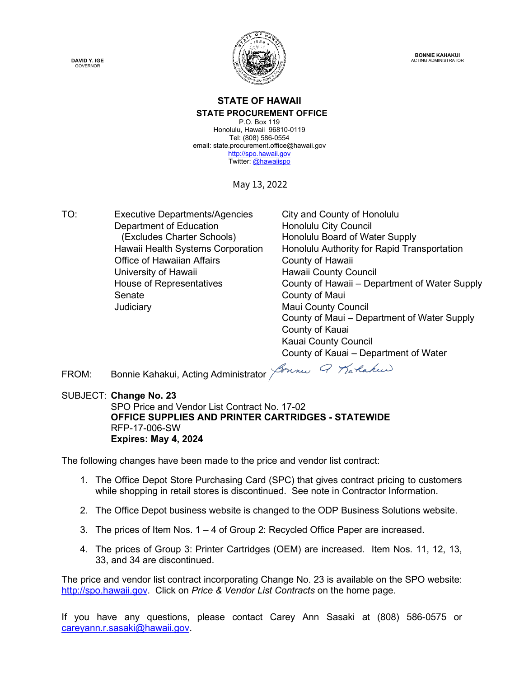**DAVID Y. IGE** GOVERNOR



**BONNIE KAHAKUI** ACTING ADMINISTRATOR

#### **STATE OF HAWAII STATE PROCUREMENT OFFICE**

P.O. Box 119 Honolulu, Hawaii 96810-0119 Tel: (808) 586-0554 email: state.procurement.office@hawaii.gov [http://spo.hawaii.gov](http://spo.hawaii.gov/) Twitter[: @hawaiispo](https://twitter.com/hawaiispo)

May 13, 2022

TO: Executive Departments/Agencies City and County of Honolulu Department of Education **Honolulu City Council** (Excludes Charter Schools) Honolulu Board of Water Supply Office of Hawaiian Affairs **County of Hawaii** University of Hawaii **Hawaii County Council** Senate County of Maui Judiciary **Maui County Council** Maui County Council

Hawaii Health Systems Corporation Honolulu Authority for Rapid Transportation House of Representatives County of Hawaii – Department of Water Supply County of Maui – Department of Water Supply County of Kauai Kauai County Council County of Kauai – Department of Water

FROM: Bonnie Kahakui, Acting Administrator John Q Marlakus

SUBJECT: **Change No. 23**

SPO Price and Vendor List Contract No. 17-02 **OFFICE SUPPLIES AND PRINTER CARTRIDGES - STATEWIDE** RFP-17-006-SW **Expires: May 4, 2024**

The following changes have been made to the price and vendor list contract:

- 1. The Office Depot Store Purchasing Card (SPC) that gives contract pricing to customers while shopping in retail stores is discontinued. See note in Contractor Information.
- 2. The Office Depot business website is changed to the ODP Business Solutions website.
- 3. The prices of Item Nos. 1 4 of Group 2: Recycled Office Paper are increased.
- 4. The prices of Group 3: Printer Cartridges (OEM) are increased. Item Nos. 11, 12, 13, 33, and 34 are discontinued.

The price and vendor list contract incorporating Change No. 23 is available on the SPO website: [http://spo.hawaii.gov.](http://spo.hawaii.gov/) Click on *Price & Vendor List Contracts* on the home page.

If you have any questions, please contact Carey Ann Sasaki at (808) 586-0575 or [careyann.r.sasaki@hawaii.gov.](mailto:careyann.r.sasaki@hawaii.gov)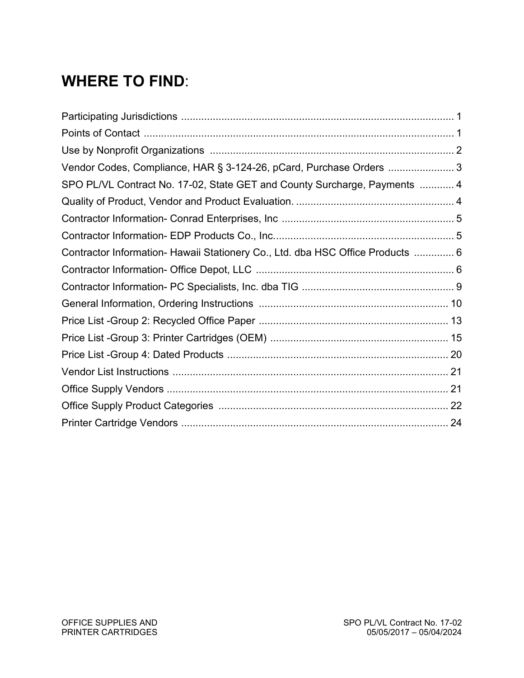# **WHERE TO FIND**:

| Vendor Codes, Compliance, HAR § 3-124-26, pCard, Purchase Orders  3            |  |
|--------------------------------------------------------------------------------|--|
| SPO PL/VL Contract No. 17-02, State GET and County Surcharge, Payments  4      |  |
|                                                                                |  |
|                                                                                |  |
|                                                                                |  |
| Contractor Information- Hawaii Stationery Co., Ltd. dba HSC Office Products  6 |  |
|                                                                                |  |
|                                                                                |  |
|                                                                                |  |
|                                                                                |  |
|                                                                                |  |
|                                                                                |  |
|                                                                                |  |
|                                                                                |  |
|                                                                                |  |
|                                                                                |  |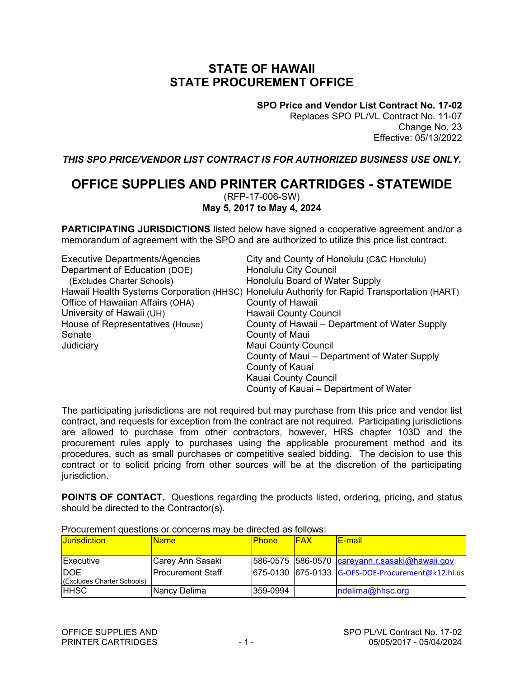## **STATE OF HAWAII STATE PROCUREMENT OFFICE**

**SPO Price and Vendor List Contract No. 17-02** Replaces SPO PL/VL Contract No. 11-07 Change No. 23 Effective: 05/13/2022

*THIS SPO PRICE/VENDOR LIST CONTRACT IS FOR AUTHORIZED BUSINESS USE ONLY.*

#### **OFFICE SUPPLIES AND PRINTER CARTRIDGES - STATEWIDE** (RFP-17-006-SW) **May 5, 2017 to May 4, 2024**

**PARTICIPATING JURISDICTIONS** listed below have signed a cooperative agreement and/or a memorandum of agreement with the SPO and are authorized to utilize this price list contract.

| <b>Executive Departments/Agencies</b> | City and County of Honolulu (C&C Honolulu)                                                  |
|---------------------------------------|---------------------------------------------------------------------------------------------|
| Department of Education (DOE)         | Honolulu City Council                                                                       |
| (Excludes Charter Schools)            | Honolulu Board of Water Supply                                                              |
|                                       | Hawaii Health Systems Corporation (HHSC) Honolulu Authority for Rapid Transportation (HART) |
| Office of Hawaiian Affairs (OHA)      | County of Hawaii                                                                            |
| University of Hawaii (UH)             | Hawaii County Council                                                                       |
| House of Representatives (House)      | County of Hawaii – Department of Water Supply                                               |
| Senate                                | County of Maui                                                                              |
| Judiciary                             | <b>Maui County Council</b>                                                                  |
|                                       | County of Maui - Department of Water Supply                                                 |
|                                       | County of Kauai                                                                             |
|                                       | Kauai County Council                                                                        |
|                                       | County of Kauai – Department of Water                                                       |

The participating jurisdictions are not required but may purchase from this price and vendor list contract, and requests for exception from the contract are not required. Participating jurisdictions are allowed to purchase from other contractors, however, HRS chapter 103D and the procurement rules apply to purchases using the applicable procurement method and its procedures, such as small purchases or competitive sealed bidding. The decision to use this contract or to solicit pricing from other sources will be at the discretion of the participating jurisdiction.

**POINTS OF CONTACT.** Questions regarding the products listed, ordering, pricing, and status should be directed to the Contractor(s).

| <b>Jurisdiction</b>                      | <u> Name</u>       | <b>Phone</b> | <b>IFAX</b> | <u>lE-mail</u>                                         |  |  |  |
|------------------------------------------|--------------------|--------------|-------------|--------------------------------------------------------|--|--|--|
| <b>Executive</b>                         | Carey Ann Sasaki   |              |             | $ 586-0575 $ 586-0570 $ care$ yann.r.sasaki@hawaii.gov |  |  |  |
| <b>DOE</b><br>(Excludes Charter Schools) | lProcurement Staff |              |             | 675-0130 675-0133 G-OFS-DOE-Procurement@k12.hi.us      |  |  |  |
| <b>HHSC</b>                              | Nancy Delima       | 359-0994     |             | ndelima@hhsc.org                                       |  |  |  |

Procurement questions or concerns may be directed as follows: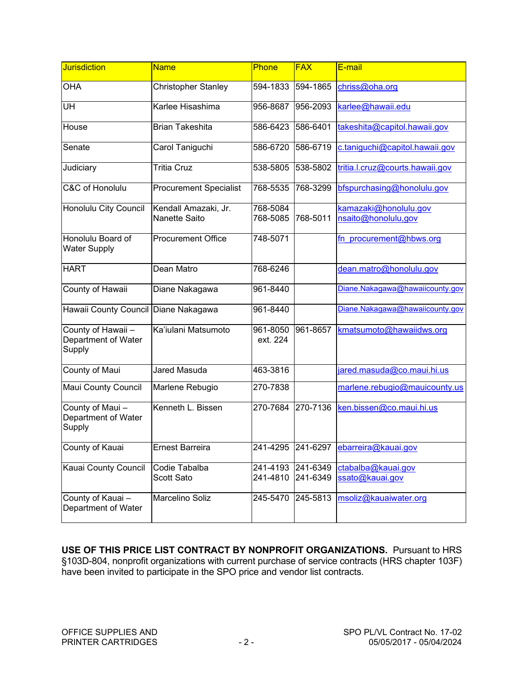| <b>Jurisdiction</b>                                 | <b>Name</b>                           | Phone                | <b>FAX</b>           | E-mail                                       |
|-----------------------------------------------------|---------------------------------------|----------------------|----------------------|----------------------------------------------|
| <b>OHA</b>                                          | Christopher Stanley                   | 594-1833             | 594-1865             | chriss@oha.org                               |
| UH                                                  | Karlee Hisashima                      | 956-8687             | 956-2093             | karlee@hawaii.edu                            |
| House                                               | <b>Brian Takeshita</b>                | 586-6423             | 586-6401             | takeshita@capitol.hawaii.gov                 |
| Senate                                              | Carol Taniguchi                       | 586-6720             | 586-6719             | c.taniguchi@capitol.hawaii.gov               |
| Judiciary                                           | <b>Tritia Cruz</b>                    | 538-5805             | 538-5802             | tritia.l.cruz@courts.hawaii.gov              |
| C&C of Honolulu                                     | <b>Procurement Specialist</b>         | 768-5535             | 768-3299             | bfspurchasing@honolulu.gov                   |
| Honolulu City Council                               | Kendall Amazaki, Jr.<br>Nanette Saito | 768-5084<br>768-5085 | 768-5011             | kamazaki@honolulu.gov<br>nsaito@honolulu,gov |
| Honolulu Board of<br><b>Water Supply</b>            | <b>Procurement Office</b>             | 748-5071             |                      | fn procurement@hbws.org                      |
| <b>HART</b>                                         | Dean Matro                            | 768-6246             |                      | dean.matro@honolulu.gov                      |
| County of Hawaii                                    | Diane Nakagawa                        | 961-8440             |                      | Diane.Nakagawa@hawaiicounty.gov              |
| Hawaii County Council                               | Diane Nakagawa                        | 961-8440             |                      | Diane.Nakagawa@hawaiicounty.gov              |
| County of Hawaii -<br>Department of Water<br>Supply | Ka'iulani Matsumoto                   | 961-8050<br>ext. 224 | 961-8657             | kmatsumoto@hawaiidws.org                     |
| County of Maui                                      | <b>Jared Masuda</b>                   | 463-3816             |                      | jared.masuda@co.maui.hi.us                   |
| Maui County Council                                 | Marlene Rebugio                       | 270-7838             |                      | marlene.rebugio@mauicounty.us                |
| County of Maui-<br>Department of Water<br>Supply    | Kenneth L. Bissen                     | 270-7684             | 270-7136             | ken.bissen@co.maui.hi.us                     |
| County of Kauai                                     | <b>Ernest Barreira</b>                | 241-4295             | 241-6297             | ebarreira@kauai.gov                          |
| Kauai County Council                                | Codie Tabalba<br>Scott Sato           | 241-4193<br>241-4810 | 241-6349<br>241-6349 | ctabalba@kauai.gov<br>ssato@kauai.gov        |
| County of Kauai-<br>Department of Water             | Marcelino Soliz                       | 245-5470             | 245-5813             | msoliz@kauaiwater.org                        |

**USE OF THIS PRICE LIST CONTRACT BY NONPROFIT ORGANIZATIONS.** Pursuant to HRS §103D-804, nonprofit organizations with current purchase of service contracts (HRS chapter 103F) have been invited to participate in the SPO price and vendor list contracts.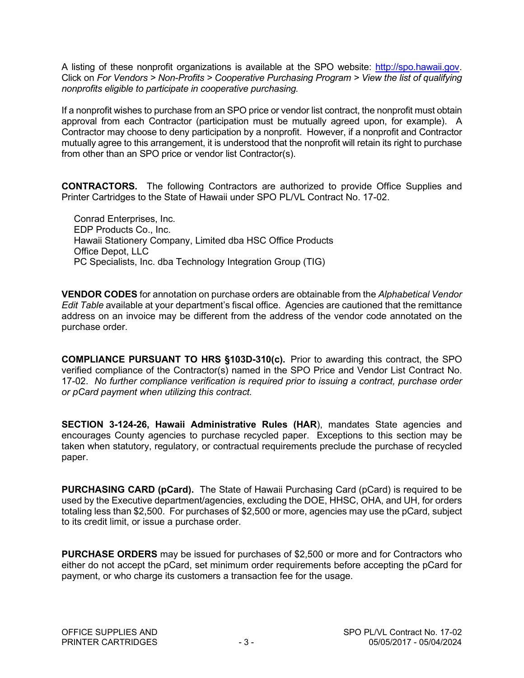A listing of these nonprofit organizations is available at the SPO website: [http://spo.hawaii.gov.](http://spo.hawaii.gov/) Click on *For Vendors > Non-Profits > Cooperative Purchasing Program > View the list of qualifying nonprofits eligible to participate in cooperative purchasing.*

If a nonprofit wishes to purchase from an SPO price or vendor list contract, the nonprofit must obtain approval from each Contractor (participation must be mutually agreed upon, for example). A Contractor may choose to deny participation by a nonprofit. However, if a nonprofit and Contractor mutually agree to this arrangement, it is understood that the nonprofit will retain its right to purchase from other than an SPO price or vendor list Contractor(s).

**CONTRACTORS.** The following Contractors are authorized to provide Office Supplies and Printer Cartridges to the State of Hawaii under SPO PL/VL Contract No. 17-02.

Conrad Enterprises, Inc. EDP Products Co., Inc. Hawaii Stationery Company, Limited dba HSC Office Products Office Depot, LLC PC Specialists, Inc. dba Technology Integration Group (TIG)

**VENDOR CODES** for annotation on purchase orders are obtainable from the *Alphabetical Vendor Edit Table* available at your department's fiscal office. Agencies are cautioned that the remittance address on an invoice may be different from the address of the vendor code annotated on the purchase order.

**COMPLIANCE PURSUANT TO HRS §103D-310(c).** Prior to awarding this contract, the SPO verified compliance of the Contractor(s) named in the SPO Price and Vendor List Contract No. 17-02. *No further compliance verification is required prior to issuing a contract, purchase order or pCard payment when utilizing this contract.*

**SECTION 3-124-26, Hawaii Administrative Rules (HAR**), mandates State agencies and encourages County agencies to purchase recycled paper. Exceptions to this section may be taken when statutory, regulatory, or contractual requirements preclude the purchase of recycled paper.

**PURCHASING CARD (pCard).** The State of Hawaii Purchasing Card (pCard) is required to be used by the Executive department/agencies, excluding the DOE, HHSC, OHA, and UH, for orders totaling less than \$2,500. For purchases of \$2,500 or more, agencies may use the pCard, subject to its credit limit, or issue a purchase order.

**PURCHASE ORDERS** may be issued for purchases of \$2,500 or more and for Contractors who either do not accept the pCard, set minimum order requirements before accepting the pCard for payment, or who charge its customers a transaction fee for the usage.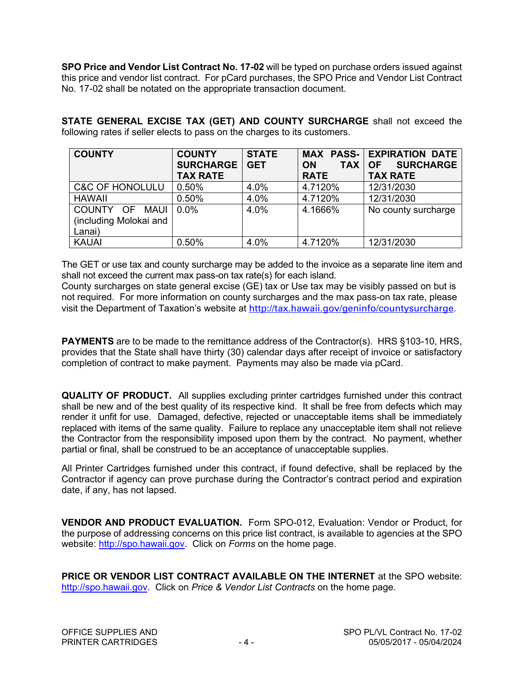**SPO Price and Vendor List Contract No. 17-02** will be typed on purchase orders issued against this price and vendor list contract. For pCard purchases, the SPO Price and Vendor List Contract No. 17-02 shall be notated on the appropriate transaction document.

**STATE GENERAL EXCISE TAX (GET) AND COUNTY SURCHARGE** shall not exceed the following rates if seller elects to pass on the charges to its customers.

| <b>COUNTY</b>              | <b>COUNTY</b><br><b>SURCHARGE</b> | <b>STATE</b><br><b>GET</b> | <b>ON</b><br><b>TAX</b> | <b>MAX PASS- EXPIRATION DATE</b><br><b>SURCHARGE</b><br><b>OF</b> |
|----------------------------|-----------------------------------|----------------------------|-------------------------|-------------------------------------------------------------------|
|                            | <b>TAX RATE</b>                   |                            | <b>RATE</b>             | <b>TAX RATE</b>                                                   |
| <b>C&amp;C OF HONOLULU</b> | 0.50%                             | 4.0%                       | 4.7120%                 | 12/31/2030                                                        |
| <b>HAWAII</b>              | 0.50%                             | 4.0%                       | 4.7120%                 | 12/31/2030                                                        |
| COUNTY OF<br><b>MAUI</b>   | $0.0\%$                           | 4.0%                       | 4.1666%                 | No county surcharge                                               |
| (including Molokai and     |                                   |                            |                         |                                                                   |
| Lanai)                     |                                   |                            |                         |                                                                   |
| <b>KAUAI</b>               | 0.50%                             | 4.0%                       | 4.7120%                 | 12/31/2030                                                        |

The GET or use tax and county surcharge may be added to the invoice as a separate line item and shall not exceed the current max pass-on tax rate(s) for each island.

County surcharges on state general excise (GE) tax or Use tax may be visibly passed on but is not required. For more information on county surcharges and the max pass-on tax rate, please visit the Department of Taxation's website at <http://tax.hawaii.gov/geninfo/countysurcharge>.

**PAYMENTS** are to be made to the remittance address of the Contractor(s). HRS §103-10, HRS, provides that the State shall have thirty (30) calendar days after receipt of invoice or satisfactory completion of contract to make payment. Payments may also be made via pCard.

**QUALITY OF PRODUCT.** All supplies excluding printer cartridges furnished under this contract shall be new and of the best quality of its respective kind. It shall be free from defects which may render it unfit for use. Damaged, defective, rejected or unacceptable items shall be immediately replaced with items of the same quality. Failure to replace any unacceptable item shall not relieve the Contractor from the responsibility imposed upon them by the contract. No payment, whether partial or final, shall be construed to be an acceptance of unacceptable supplies.

All Printer Cartridges furnished under this contract, if found defective, shall be replaced by the Contractor if agency can prove purchase during the Contractor's contract period and expiration date, if any, has not lapsed.

**VENDOR AND PRODUCT EVALUATION.** Form SPO-012, Evaluation: Vendor or Product, for the purpose of addressing concerns on this price list contract, is available to agencies at the SPO website: [http://spo.hawaii.gov.](http://spo.hawaii.gov/) Click on *Forms* on the home page.

**PRICE OR VENDOR LIST CONTRACT AVAILABLE ON THE INTERNET** at the SPO website: [http://spo.hawaii.gov.](http://spo.hawaii.gov/) Click on *Price & Vendor List Contracts* on the home page.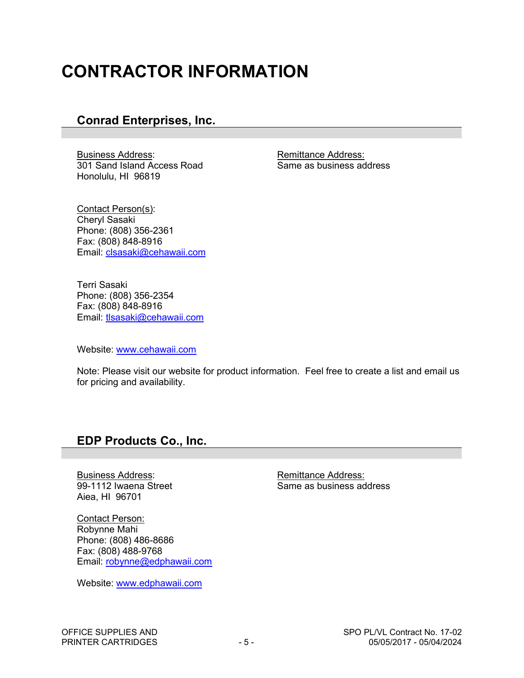# **CONTRACTOR INFORMATION**

## **Conrad Enterprises, Inc.**

Business Address:<br>301 Sand Island Access Road<br>301 Sand Island Access Road<br>801 Same as business address 301 Sand Island Access Road Honolulu, HI 96819

Contact Person(s): Cheryl Sasaki Phone: (808) 356-2361 Fax: (808) 848-8916 Email: [clsasaki@cehawaii.com](mailto:clsasaki@cehawaii.com) 

Terri Sasaki Phone: (808) 356-2354 Fax: (808) 848-8916 Email: [tlsasaki@cehawaii.com](mailto:tlsasaki@cehawaii.com)

Website: [www.cehawaii.com](http://www.cehawaii.com/) 

Note: Please visit our website for product information. Feel free to create a list and email us for pricing and availability.

### **EDP Products Co., Inc.**

Eusiness Address:<br>
99-1112 Iwaena Street<br>
99-1112 Iwaena Street<br>
Remittance Address: Aiea, HI 96701

Contact Person: Robynne Mahi Phone: (808) 486-8686 Fax: (808) 488-9768 Email: [robynne@edphawaii.com](mailto:robynne@edphawaii.com)

Website: www.edphawaii.com

Same as business address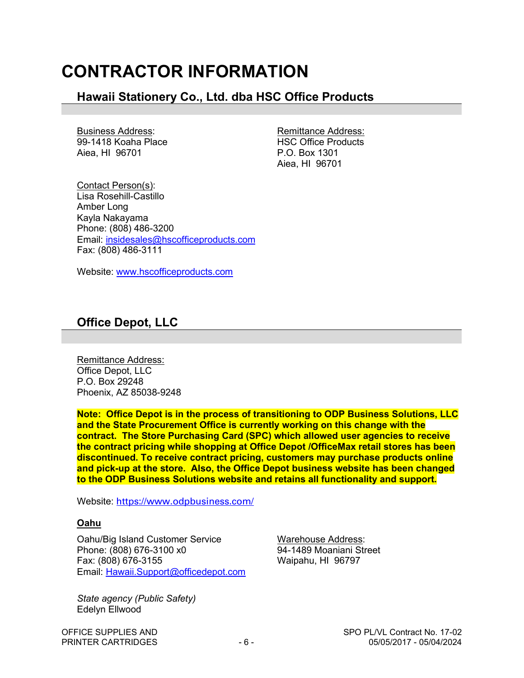## **CONTRACTOR INFORMATION**

## **Hawaii Stationery Co., Ltd. dba HSC Office Products**

Business Address:<br>
99-1418 Koaha Place<br>
Remittance Address:<br>
HSC Office Products 99-1418 Koaha Place Aiea, HI 96701 **P.O. Box 1301** 

Aiea, HI 96701

Contact Person(s): Lisa Rosehill-Castillo Amber Long Kayla Nakayama Phone: (808) 486-3200 Email: [insidesales@hscofficeproducts.com](mailto:insidesales@hscofficeproducts.com)  Fax: (808) 486-3111

Website: [www.hscofficeproducts.com](http://www.hscofficeproducts.com/) 

## **Office Depot, LLC**

Remittance Address: Office Depot, LLC P.O. Box 29248 Phoenix, AZ 85038-9248

**Note: Office Depot is in the process of transitioning to ODP Business Solutions, LLC and the State Procurement Office is currently working on this change with the contract. The Store Purchasing Card (SPC) which allowed user agencies to receive the contract pricing while shopping at Office Depot /OfficeMax retail stores has been discontinued. To receive contract pricing, customers may purchase products online and pick-up at the store. Also, the Office Depot business website has been changed to the ODP Business Solutions website and retains all functionality and support.**

Website: <https://www.odpbusiness.com/>

#### **Oahu**

Oahu/Big Island Customer Service Warehouse Address: Phone: (808) 676-3100 x0 94-1489 Moaniani Street Fax: (808) 676-3155 Waipahu, HI 96797 Email: [Hawaii.Support@officedepot.com](mailto:Hawaii.Support@officedepot.com) 

*State agency (Public Safety)*  Edelyn Ellwood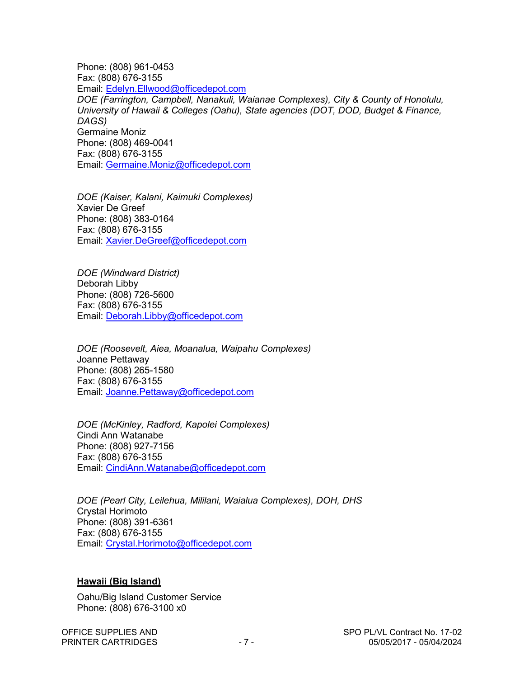Phone: (808) 961-0453 Fax: (808) 676-3155 Email: [Edelyn.Ellwood@officedepot.com](mailto:Edelyn.Ellwood@officedepot.com)  *DOE (Farrington, Campbell, Nanakuli, Waianae Complexes), City & County of Honolulu, University of Hawaii & Colleges (Oahu), State agencies (DOT, DOD, Budget & Finance, DAGS)*  Germaine Moniz Phone: (808) 469-0041 Fax: (808) 676-3155 Email: [Germaine.Moniz@officedepot.com](mailto:Germaine.Moniz@officedepot.com)

*DOE (Kaiser, Kalani, Kaimuki Complexes)* Xavier De Greef Phone: (808) 383-0164 Fax: (808) 676-3155 Email: [Xavier.DeGreef@officedepot.com](mailto:Xavier.DeGreef@officedepot.com) 

*DOE (Windward District)* Deborah Libby Phone: (808) 726-5600 Fax: (808) 676-3155 Email: [Deborah.Libby@officedepot.com](mailto:Deborah.Libby@officedepot.com)

*DOE (Roosevelt, Aiea, Moanalua, Waipahu Complexes)* Joanne Pettaway Phone: (808) 265-1580 Fax: (808) 676-3155 Email: [Joanne.Pettaway@officedepot.com](mailto:Joanne.Pettaway@officedepot.com) 

*DOE (McKinley, Radford, Kapolei Complexes)* Cindi Ann Watanabe Phone: (808) 927-7156 Fax: (808) 676-3155 Email: [CindiAnn.Watanabe@officedepot.com](mailto:CindiAnn.Watanabe@officedepot.com)

*DOE (Pearl City, Leilehua, Mililani, Waialua Complexes), DOH, DHS* Crystal Horimoto Phone: (808) 391-6361 Fax: (808) 676-3155 Email: [Crystal.Horimoto@officedepot.com](mailto:Crystal.Horimoto@officedepot.com)

#### **Hawaii (Big Island)**

Oahu/Big Island Customer Service Phone: (808) 676-3100 x0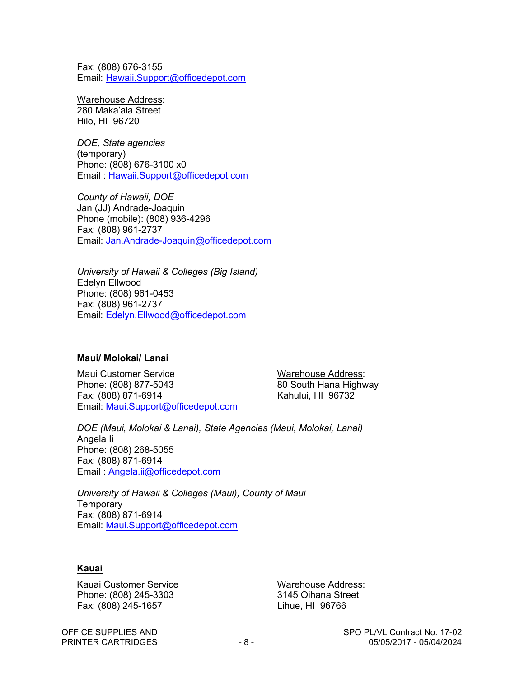Fax: (808) 676-3155 Email: [Hawaii.Support@officedepot.com](mailto:Hawaii.Support@officedepot.com) 

Warehouse Address: 280 Maka'ala Street Hilo, HI 96720

*DOE, State agencies* (temporary) Phone: (808) 676-3100 x0 Email : [Hawaii.Support@officedepot.com](mailto:Hawaii.Support@officedepot.com) 

*County of Hawaii, DOE* Jan (JJ) Andrade-Joaquin Phone (mobile): (808) 936-4296 Fax: (808) 961-2737 Email: [Jan.Andrade-Joaquin@officedepot.com](mailto:Jan.Andrade-Joaquin@officedepot.com)

*University of Hawaii & Colleges (Big Island)* Edelyn Ellwood Phone: (808) 961-0453 Fax: (808) 961-2737 Email: [Edelyn.Ellwood@officedepot.com](mailto:Edelyn.Ellwood@officedepot.com) 

#### **Maui/ Molokai/ Lanai**

Maui Customer Service Warehouse Address: Phone: (808) 877-5043 80 South Hana Highway Fax: (808) 871-6914 Kahului, HI 96732 Email: [Maui.Support@officedepot.com](mailto:Maui.Support@officedepot.com) 

*DOE (Maui, Molokai & Lanai), State Agencies (Maui, Molokai, Lanai)*  Angela Ii Phone: (808) 268-5055 Fax: (808) 871-6914 Email : [Angela.ii@officedepot.com](mailto:Angela.ii@officedepot.com)

*University of Hawaii & Colleges (Maui), County of Maui* **Temporary** Fax: (808) 871-6914 Email: [Maui.Support@officedepot.com](mailto:Maui.Support@officedepot.com)

#### **Kauai**

Kauai Customer Service Warehouse Address: Phone: (808) 245-3303 3145 Oihana Street Fax: (808) 245-1657 Lihue, HI 96766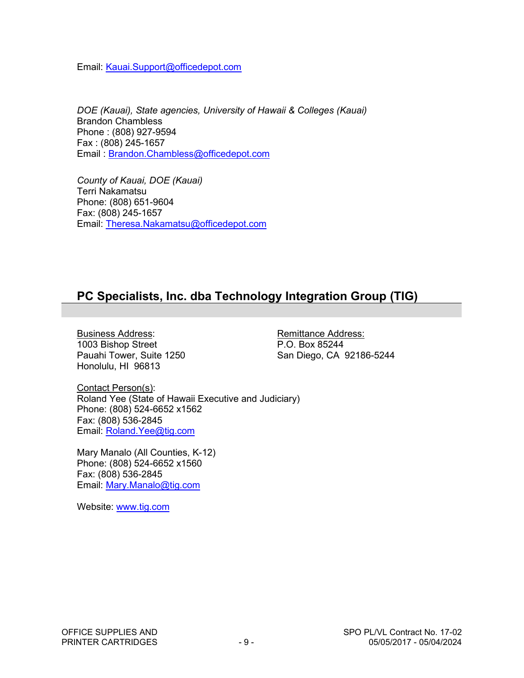Email: [Kauai.Support@officedepot.com](mailto:Kauai.Support@officedepot.com) 

*DOE (Kauai), State agencies, University of Hawaii & Colleges (Kauai)* Brandon Chambless Phone : (808) 927-9594 Fax : (808) 245-1657 Email : [Brandon.Chambless@officedepot.com](mailto:Brandon.Chambless@officedepot.com)

*County of Kauai, DOE (Kauai)* Terri Nakamatsu Phone: (808) 651-9604 Fax: (808) 245-1657 Email: [Theresa.Nakamatsu@officedepot.com](mailto:Theresa.Nakamatsu@officedepot.com) 

## **PC Specialists, Inc. dba Technology Integration Group (TIG)**

Eusiness Address:<br>1003 Bishop Street 1003 Bishop Street 1003 Bishop Street 1003 Bishop Street<br>Pauahi Tower, Suite 1250 Honolulu, HI 96813

San Diego, CA 92186-5244

Contact Person(s): Roland Yee (State of Hawaii Executive and Judiciary) Phone: (808) 524-6652 x1562 Fax: (808) 536-2845 Email: [Roland.Yee@tig.com](mailto:Roland.Yee@tig.com) 

Mary Manalo (All Counties, K-12) Phone: (808) 524-6652 x1560 Fax: (808) 536-2845 Email: [Mary.Manalo@tig.com](mailto:Mary.Manalo@tig.com)

Website: www.tig.com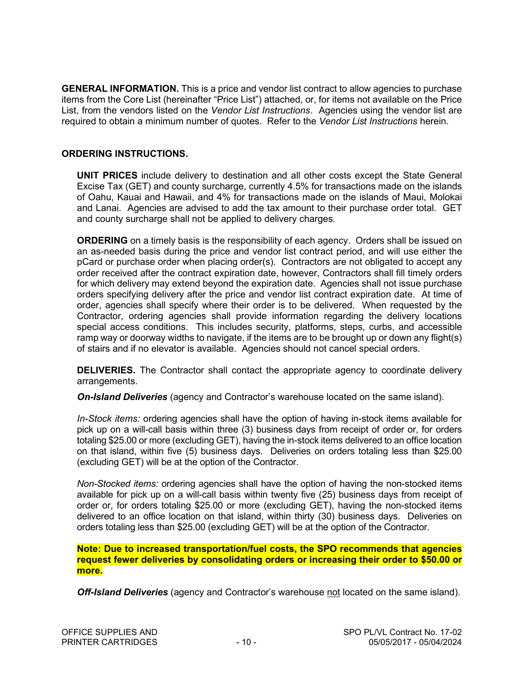**GENERAL INFORMATION.** This is a price and vendor list contract to allow agencies to purchase items from the Core List (hereinafter "Price List") attached, or, for items not available on the Price List, from the vendors listed on the *Vendor List Instructions*. Agencies using the vendor list are required to obtain a minimum number of quotes. Refer to the *Vendor List Instructions* herein.

#### **ORDERING INSTRUCTIONS.**

**UNIT PRICES** include delivery to destination and all other costs except the State General Excise Tax (GET) and county surcharge, currently 4.5% for transactions made on the islands of Oahu, Kauai and Hawaii, and 4% for transactions made on the islands of Maui, Molokai and Lanai. Agencies are advised to add the tax amount to their purchase order total. GET and county surcharge shall not be applied to delivery charges.

**ORDERING** on a timely basis is the responsibility of each agency. Orders shall be issued on an as-needed basis during the price and vendor list contract period, and will use either the pCard or purchase order when placing order(s). Contractors are not obligated to accept any order received after the contract expiration date, however, Contractors shall fill timely orders for which delivery may extend beyond the expiration date. Agencies shall not issue purchase orders specifying delivery after the price and vendor list contract expiration date. At time of order, agencies shall specify where their order is to be delivered. When requested by the Contractor, ordering agencies shall provide information regarding the delivery locations special access conditions. This includes security, platforms, steps, curbs, and accessible ramp way or doorway widths to navigate, if the items are to be brought up or down any flight(s) of stairs and if no elevator is available. Agencies should not cancel special orders.

**DELIVERIES.** The Contractor shall contact the appropriate agency to coordinate delivery arrangements.

*On-Island Deliveries* (agency and Contractor's warehouse located on the same island).

*In-Stock items:* ordering agencies shall have the option of having in-stock items available for pick up on a will-call basis within three (3) business days from receipt of order or, for orders totaling \$25.00 or more (excluding GET), having the in-stock items delivered to an office location on that island, within five (5) business days. Deliveries on orders totaling less than \$25.00 (excluding GET) will be at the option of the Contractor.

*Non-Stocked items:* ordering agencies shall have the option of having the non-stocked items available for pick up on a will-call basis within twenty five (25) business days from receipt of order or, for orders totaling \$25.00 or more (excluding GET), having the non-stocked items delivered to an office location on that island, within thirty (30) business days. Deliveries on orders totaling less than \$25.00 (excluding GET) will be at the option of the Contractor.

**Note: Due to increased transportation/fuel costs, the SPO recommends that agencies request fewer deliveries by consolidating orders or increasing their order to \$50.00 or more.**

*Off-Island Deliveries* (agency and Contractor's warehouse not located on the same island).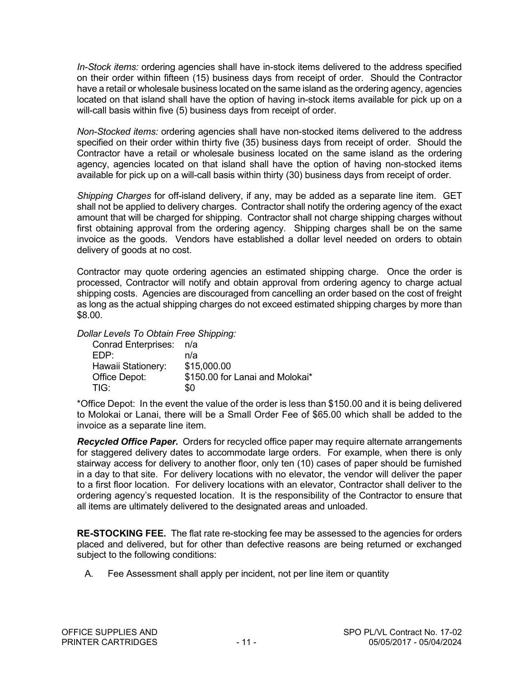*In-Stock items:* ordering agencies shall have in-stock items delivered to the address specified on their order within fifteen (15) business days from receipt of order. Should the Contractor have a retail or wholesale business located on the same island as the ordering agency, agencies located on that island shall have the option of having in-stock items available for pick up on a will-call basis within five (5) business days from receipt of order.

*Non-Stocked items:* ordering agencies shall have non-stocked items delivered to the address specified on their order within thirty five (35) business days from receipt of order. Should the Contractor have a retail or wholesale business located on the same island as the ordering agency, agencies located on that island shall have the option of having non-stocked items available for pick up on a will-call basis within thirty (30) business days from receipt of order.

*Shipping Charges* for off-island delivery, if any, may be added as a separate line item. GET shall not be applied to delivery charges. Contractor shall notify the ordering agency of the exact amount that will be charged for shipping. Contractor shall not charge shipping charges without first obtaining approval from the ordering agency. Shipping charges shall be on the same invoice as the goods. Vendors have established a dollar level needed on orders to obtain delivery of goods at no cost.

Contractor may quote ordering agencies an estimated shipping charge. Once the order is processed, Contractor will notify and obtain approval from ordering agency to charge actual shipping costs. Agencies are discouraged from cancelling an order based on the cost of freight as long as the actual shipping charges do not exceed estimated shipping charges by more than \$8.00.

*Dollar Levels To Obtain Free Shipping:* 

| Conrad Enterprises: n/a         |
|---------------------------------|
| n/a                             |
| \$15,000.00                     |
| \$150.00 for Lanai and Molokai* |
| \$0                             |
|                                 |

\*Office Depot: In the event the value of the order is less than \$150.00 and it is being delivered to Molokai or Lanai, there will be a Small Order Fee of \$65.00 which shall be added to the invoice as a separate line item.

*Recycled Office Paper.* Orders for recycled office paper may require alternate arrangements for staggered delivery dates to accommodate large orders. For example, when there is only stairway access for delivery to another floor, only ten (10) cases of paper should be furnished in a day to that site. For delivery locations with no elevator, the vendor will deliver the paper to a first floor location. For delivery locations with an elevator, Contractor shall deliver to the ordering agency's requested location. It is the responsibility of the Contractor to ensure that all items are ultimately delivered to the designated areas and unloaded.

**RE-STOCKING FEE.** The flat rate re-stocking fee may be assessed to the agencies for orders placed and delivered, but for other than defective reasons are being returned or exchanged subject to the following conditions:

A. Fee Assessment shall apply per incident, not per line item or quantity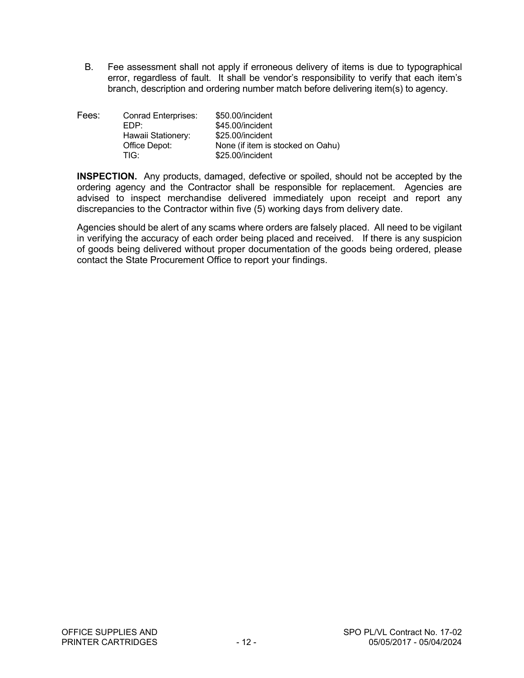B. Fee assessment shall not apply if erroneous delivery of items is due to typographical error, regardless of fault. It shall be vendor's responsibility to verify that each item's branch, description and ordering number match before delivering item(s) to agency.

| Fees: | <b>Conrad Enterprises:</b> | \$50.00/incident                  |
|-------|----------------------------|-----------------------------------|
|       | EDP:                       | \$45.00/incident                  |
|       | Hawaii Stationery:         | \$25.00/incident                  |
|       | Office Depot:              | None (if item is stocked on Oahu) |
|       | TIG <sup>.</sup>           | \$25.00/incident                  |

**INSPECTION.** Any products, damaged, defective or spoiled, should not be accepted by the ordering agency and the Contractor shall be responsible for replacement. Agencies are advised to inspect merchandise delivered immediately upon receipt and report any discrepancies to the Contractor within five (5) working days from delivery date.

Agencies should be alert of any scams where orders are falsely placed. All need to be vigilant in verifying the accuracy of each order being placed and received. If there is any suspicion of goods being delivered without proper documentation of the goods being ordered, please contact the State Procurement Office to report your findings.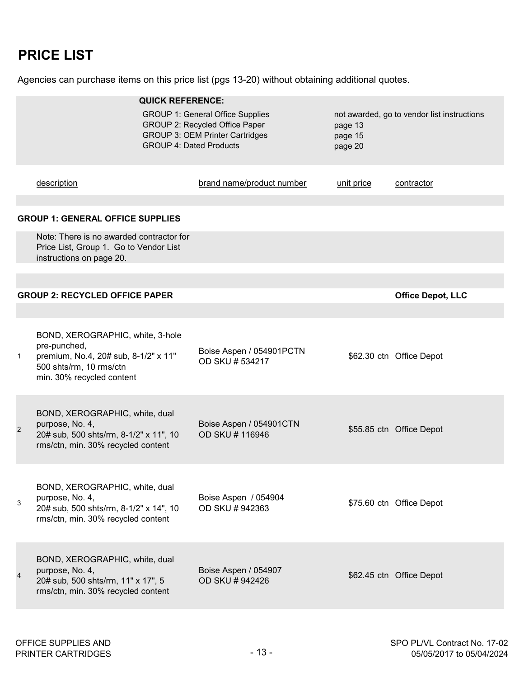## **PRICE LIST**

Agencies can purchase items on this price list (pgs 13-20) without obtaining additional quotes.

|                | <b>QUICK REFERENCE:</b>                                                                                                                                                                |                                            |            |                                             |
|----------------|----------------------------------------------------------------------------------------------------------------------------------------------------------------------------------------|--------------------------------------------|------------|---------------------------------------------|
|                | <b>GROUP 1: General Office Supplies</b><br>GROUP 2: Recycled Office Paper<br>page 13<br><b>GROUP 3: OEM Printer Cartridges</b><br>page 15<br><b>GROUP 4: Dated Products</b><br>page 20 |                                            |            | not awarded, go to vendor list instructions |
|                | description                                                                                                                                                                            | brand name/product number                  | unit price | contractor                                  |
|                | <b>GROUP 1: GENERAL OFFICE SUPPLIES</b>                                                                                                                                                |                                            |            |                                             |
|                | Note: There is no awarded contractor for<br>Price List, Group 1. Go to Vendor List<br>instructions on page 20.                                                                         |                                            |            |                                             |
|                |                                                                                                                                                                                        |                                            |            |                                             |
|                | <b>GROUP 2: RECYCLED OFFICE PAPER</b>                                                                                                                                                  |                                            |            | <b>Office Depot, LLC</b>                    |
|                |                                                                                                                                                                                        |                                            |            |                                             |
| $\mathbf{1}$   | BOND, XEROGRAPHIC, white, 3-hole<br>pre-punched,<br>premium, No.4, 20# sub, 8-1/2" x 11"<br>500 shts/rm, 10 rms/ctn<br>min. 30% recycled content                                       | Boise Aspen / 054901PCTN<br>OD SKU #534217 |            | \$62.30 ctn Office Depot                    |
| $\overline{2}$ | BOND, XEROGRAPHIC, white, dual<br>purpose, No. 4,<br>20# sub, 500 shts/rm, 8-1/2" x 11", 10<br>rms/ctn, min. 30% recycled content                                                      | Boise Aspen / 054901CTN<br>OD SKU # 116946 |            | \$55.85 ctn Office Depot                    |
| 3              | BOND, XEROGRAPHIC, white, dual<br>purpose, No. 4,<br>20# sub, 500 shts/rm, 8-1/2" x 14", 10<br>rms/ctn, min. 30% recycled content                                                      | Boise Aspen / 054904<br>OD SKU #942363     |            | \$75.60 ctn Office Depot                    |
| $\overline{4}$ | BOND, XEROGRAPHIC, white, dual<br>purpose, No. 4,<br>20# sub, 500 shts/rm, 11" x 17", 5<br>rms/ctn, min. 30% recycled content                                                          | Boise Aspen / 054907<br>OD SKU # 942426    |            | \$62.45 ctn Office Depot                    |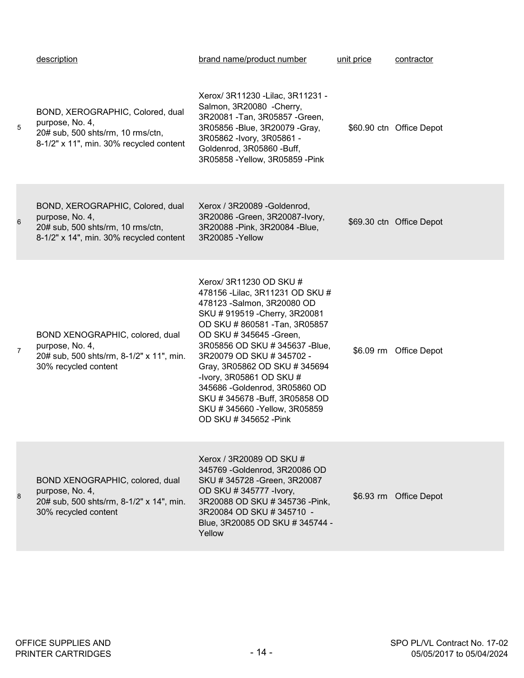|                | description                                                                                                                         | brand name/product number                                                                                                                                                                                                                                                                                                                                                                                                                           | unit price | contractor               |
|----------------|-------------------------------------------------------------------------------------------------------------------------------------|-----------------------------------------------------------------------------------------------------------------------------------------------------------------------------------------------------------------------------------------------------------------------------------------------------------------------------------------------------------------------------------------------------------------------------------------------------|------------|--------------------------|
| 5              | BOND, XEROGRAPHIC, Colored, dual<br>purpose, No. 4,<br>20# sub, 500 shts/rm, 10 rms/ctn,<br>8-1/2" x 11", min. 30% recycled content | Xerox/ 3R11230 - Lilac, 3R11231 -<br>Salmon, 3R20080 - Cherry,<br>3R20081 - Tan, 3R05857 - Green,<br>3R05856 - Blue, 3R20079 - Gray,<br>3R05862 - Ivory, 3R05861 -<br>Goldenrod, 3R05860 -Buff,<br>3R05858 - Yellow, 3R05859 - Pink                                                                                                                                                                                                                 |            | \$60.90 ctn Office Depot |
| 6              | BOND, XEROGRAPHIC, Colored, dual<br>purpose, No. 4,<br>20# sub, 500 shts/rm, 10 rms/ctn,<br>8-1/2" x 14", min. 30% recycled content | Xerox / 3R20089 - Goldenrod,<br>3R20086 - Green, 3R20087-Ivory,<br>3R20088 - Pink, 3R20084 - Blue,<br>3R20085 - Yellow                                                                                                                                                                                                                                                                                                                              |            | \$69.30 ctn Office Depot |
| $\overline{7}$ | BOND XENOGRAPHIC, colored, dual<br>purpose, No. 4,<br>20# sub, 500 shts/rm, 8-1/2" x 11", min.<br>30% recycled content              | Xerox/ 3R11230 OD SKU #<br>478156 - Lilac, 3R11231 OD SKU #<br>478123 - Salmon, 3R20080 OD<br>SKU # 919519 - Cherry, 3R20081<br>OD SKU #860581 - Tan, 3R05857<br>OD SKU # 345645 - Green,<br>3R05856 OD SKU # 345637 - Blue,<br>3R20079 OD SKU #345702 -<br>Gray, 3R05862 OD SKU #345694<br>-Ivory, 3R05861 OD SKU #<br>345686 - Goldenrod, 3R05860 OD<br>SKU #345678 - Buff, 3R05858 OD<br>SKU #345660 - Yellow, 3R05859<br>OD SKU # 345652 - Pink |            | \$6.09 rm Office Depot   |
| 8              | BOND XENOGRAPHIC, colored, dual<br>purpose, No. 4,<br>20# sub, 500 shts/rm, 8-1/2" x 14", min.<br>30% recycled content              | Xerox / 3R20089 OD SKU #<br>345769 - Goldenrod, 3R20086 OD<br>SKU # 345728 - Green, 3R20087<br>OD SKU # 345777 - Ivory,<br>3R20088 OD SKU # 345736 - Pink,<br>3R20084 OD SKU # 345710 -<br>Blue, 3R20085 OD SKU # 345744 -<br>Yellow                                                                                                                                                                                                                |            | \$6.93 rm Office Depot   |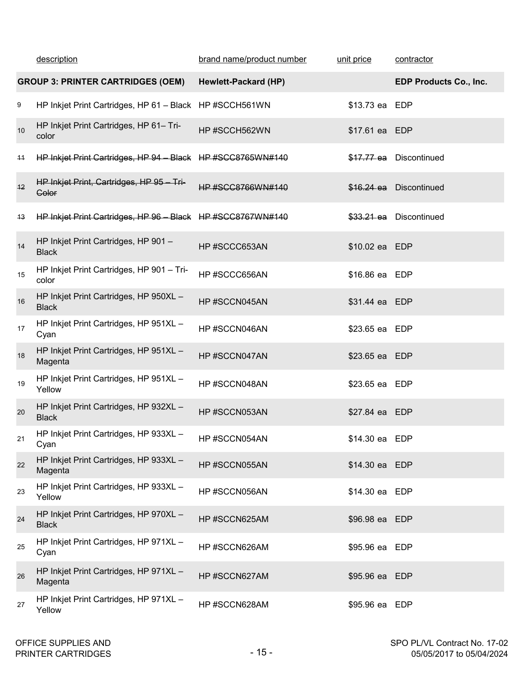|      | description                                                 | brand name/product number | unit price     | contractor                    |
|------|-------------------------------------------------------------|---------------------------|----------------|-------------------------------|
|      | <b>GROUP 3: PRINTER CARTRIDGES (OEM)</b>                    | Hewlett-Packard (HP)      |                | <b>EDP Products Co., Inc.</b> |
| 9    | HP Inkjet Print Cartridges, HP 61 - Black HP #SCCH561WN     |                           | \$13.73 ea EDP |                               |
| 10   | HP Inkjet Print Cartridges, HP 61- Tri-<br>color            | HP#SCCH562WN              | \$17.61 ea EDP |                               |
| 11   | HP Inkjet Print Cartridges, HP 94 - Black HP #SCC8765WN#140 |                           |                | \$17.77 ea Discontinued       |
| $+2$ | HP Inkjet Print, Cartridges, HP 95 - Tri-<br><b>Color</b>   | <b>HP #SCC8766WN#140</b>  |                | \$16.24 ea Discontinued       |
| 43   | HP Inkjet Print Cartridges, HP 96 - Black HP #SCC8767WN#140 |                           |                | \$33.21 ea Discontinued       |
| 14   | HP Inkjet Print Cartridges, HP 901-<br><b>Black</b>         | HP#SCCC653AN              | \$10.02 ea EDP |                               |
| 15   | HP Inkjet Print Cartridges, HP 901 - Tri-<br>color          | HP#SCCC656AN              | \$16.86 ea EDP |                               |
| 16   | HP Inkjet Print Cartridges, HP 950XL -<br><b>Black</b>      | HP#SCCN045AN              | \$31.44 ea EDP |                               |
| 17   | HP Inkjet Print Cartridges, HP 951XL -<br>Cyan              | HP#SCCN046AN              | \$23.65 ea EDP |                               |
| 18   | HP Inkjet Print Cartridges, HP 951XL -<br>Magenta           | HP#SCCN047AN              | \$23.65 ea EDP |                               |
| 19   | HP Inkjet Print Cartridges, HP 951XL -<br>Yellow            | HP#SCCN048AN              | \$23.65 ea EDP |                               |
| 20   | HP Inkjet Print Cartridges, HP 932XL -<br><b>Black</b>      | HP#SCCN053AN              | \$27.84 ea EDP |                               |
| 21   | HP Inkjet Print Cartridges, HP 933XL -<br>Cyan              | HP#SCCN054AN              | \$14.30 ea EDP |                               |
| 22   | HP Inkjet Print Cartridges, HP 933XL -<br>Magenta           | HP#SCCN055AN              | \$14.30 ea EDP |                               |
| 23   | HP Inkjet Print Cartridges, HP 933XL -<br>Yellow            | HP#SCCN056AN              | \$14.30 ea EDP |                               |
| 24   | HP Inkjet Print Cartridges, HP 970XL -<br><b>Black</b>      | HP#SCCN625AM              | \$96.98 ea EDP |                               |
| 25   | HP Inkjet Print Cartridges, HP 971XL -<br>Cyan              | HP#SCCN626AM              | \$95.96 ea EDP |                               |
| 26   | HP Inkjet Print Cartridges, HP 971XL -<br>Magenta           | HP#SCCN627AM              | \$95.96 ea EDP |                               |
| 27   | HP Inkjet Print Cartridges, HP 971XL -<br>Yellow            | HP#SCCN628AM              | \$95.96 ea EDP |                               |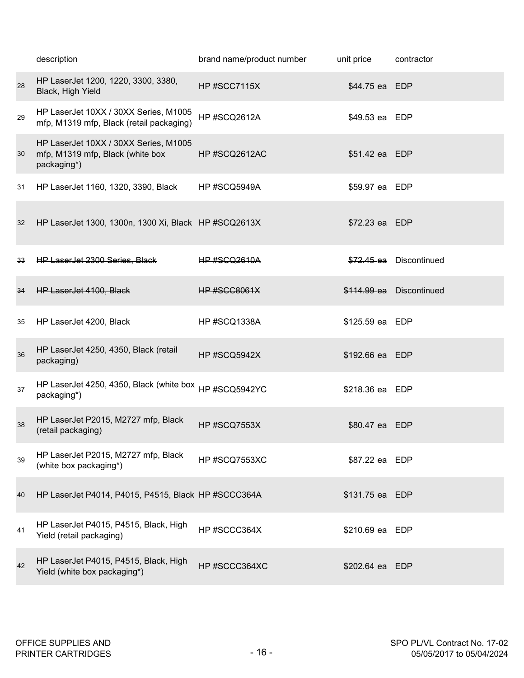|    | description                                                                              | brand name/product number | unit price      | contractor               |
|----|------------------------------------------------------------------------------------------|---------------------------|-----------------|--------------------------|
| 28 | HP LaserJet 1200, 1220, 3300, 3380,<br>Black, High Yield                                 | HP#SCC7115X               | \$44.75 ea EDP  |                          |
| 29 | HP LaserJet 10XX / 30XX Series, M1005<br>mfp, M1319 mfp, Black (retail packaging)        | HP#SCQ2612A               | \$49.53 ea EDP  |                          |
| 30 | HP LaserJet 10XX / 30XX Series, M1005<br>mfp, M1319 mfp, Black (white box<br>packaging*) | HP#SCQ2612AC              | \$51.42 ea EDP  |                          |
| 31 | HP LaserJet 1160, 1320, 3390, Black                                                      | HP#SCQ5949A               | \$59.97 ea EDP  |                          |
| 32 | HP LaserJet 1300, 1300n, 1300 Xi, Black HP #SCQ2613X                                     |                           | \$72.23 ea EDP  |                          |
| 33 | <b>HP LaserJet 2300 Series, Black</b>                                                    | <b>HP #SCQ2610A</b>       |                 | \$72.45 ea Discontinued  |
| 34 | <b>HP LaserJet 4100, Black</b>                                                           | <b>HP #SCC8061X</b>       |                 | \$114.99 ea Discontinued |
| 35 | HP LaserJet 4200, Black                                                                  | HP#SCQ1338A               | \$125.59 ea EDP |                          |
| 36 | HP LaserJet 4250, 4350, Black (retail<br>packaging)                                      | HP#SCQ5942X               | \$192.66 ea EDP |                          |
| 37 | HP LaserJet 4250, 4350, Black (white box HP #SCQ5942YC<br>packaging*)                    |                           | \$218.36 ea EDP |                          |
| 38 | HP LaserJet P2015, M2727 mfp, Black<br>(retail packaging)                                | HP#SCQ7553X               | \$80.47 ea EDP  |                          |
| 39 | HP LaserJet P2015, M2727 mfp, Black<br>(white box packaging*)                            | HP#SCQ7553XC              | \$87.22 ea EDP  |                          |
| 40 | HP LaserJet P4014, P4015, P4515, Black HP #SCCC364A                                      |                           | \$131.75 ea EDP |                          |
| 41 | HP LaserJet P4015, P4515, Black, High<br>Yield (retail packaging)                        | HP#SCCC364X               | \$210.69 ea EDP |                          |
| 42 | HP LaserJet P4015, P4515, Black, High<br>Yield (white box packaging*)                    | HP#SCCC364XC              | \$202.64 ea EDP |                          |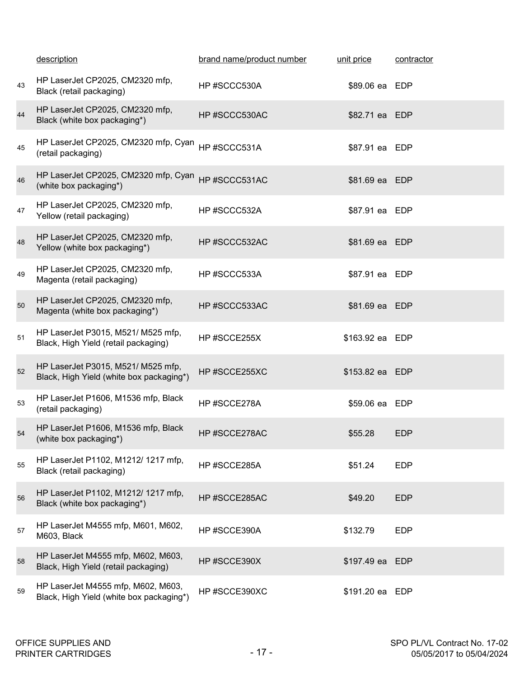|    | description                                                                    | brand name/product number | unit price      | contractor |
|----|--------------------------------------------------------------------------------|---------------------------|-----------------|------------|
| 43 | HP LaserJet CP2025, CM2320 mfp,<br>Black (retail packaging)                    | HP#SCCC530A               | \$89.06 ea EDP  |            |
| 44 | HP LaserJet CP2025, CM2320 mfp,<br>Black (white box packaging*)                | HP#SCCC530AC              | \$82.71 ea EDP  |            |
| 45 | HP LaserJet CP2025, CM2320 mfp, Cyan<br>(retail packaging)                     | HP#SCCC531A               | \$87.91 ea EDP  |            |
| 46 | HP LaserJet CP2025, CM2320 mfp, Cyan<br>(white box packaging*)                 | HP#SCCC531AC              | \$81.69 ea EDP  |            |
| 47 | HP LaserJet CP2025, CM2320 mfp,<br>Yellow (retail packaging)                   | HP#SCCC532A               | \$87.91 ea EDP  |            |
| 48 | HP LaserJet CP2025, CM2320 mfp,<br>Yellow (white box packaging*)               | HP#SCCC532AC              | \$81.69 ea EDP  |            |
| 49 | HP LaserJet CP2025, CM2320 mfp,<br>Magenta (retail packaging)                  | HP#SCCC533A               | \$87.91 ea EDP  |            |
| 50 | HP LaserJet CP2025, CM2320 mfp,<br>Magenta (white box packaging*)              | HP#SCCC533AC              | \$81.69 ea EDP  |            |
| 51 | HP LaserJet P3015, M521/ M525 mfp,<br>Black, High Yield (retail packaging)     | HP #SCCE255X              | \$163.92 ea EDP |            |
| 52 | HP LaserJet P3015, M521/ M525 mfp,<br>Black, High Yield (white box packaging*) | HP#SCCE255XC              | \$153.82 ea EDP |            |
| 53 | HP LaserJet P1606, M1536 mfp, Black<br>(retail packaging)                      | HP#SCCE278A               | \$59.06 ea EDP  |            |
| 54 | HP LaserJet P1606, M1536 mfp, Black<br>(white box packaging*)                  | HP#SCCE278AC              | \$55.28         | <b>EDP</b> |
| 55 | HP LaserJet P1102, M1212/ 1217 mfp,<br>Black (retail packaging)                | HP#SCCE285A               | \$51.24         | <b>EDP</b> |
| 56 | HP LaserJet P1102, M1212/ 1217 mfp,<br>Black (white box packaging*)            | HP#SCCE285AC              | \$49.20         | <b>EDP</b> |
| 57 | HP LaserJet M4555 mfp, M601, M602,<br>M603, Black                              | HP#SCCE390A               | \$132.79        | <b>EDP</b> |
| 58 | HP LaserJet M4555 mfp, M602, M603,<br>Black, High Yield (retail packaging)     | HP#SCCE390X               | \$197.49 ea EDP |            |
| 59 | HP LaserJet M4555 mfp, M602, M603,<br>Black, High Yield (white box packaging*) | HP#SCCE390XC              | \$191.20 ea EDP |            |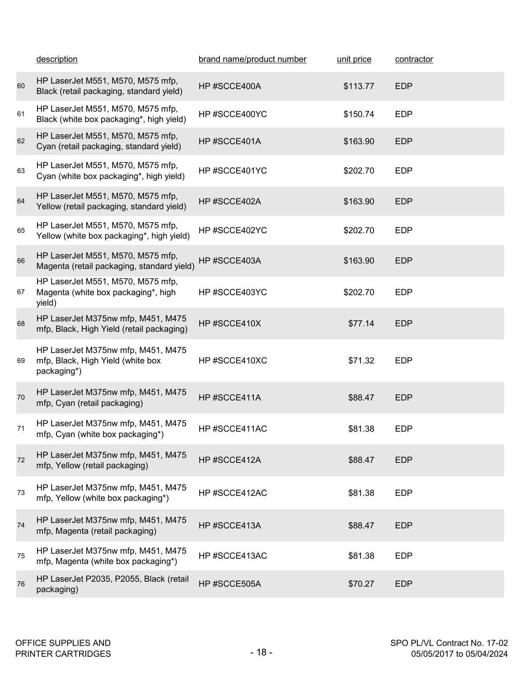|    | description                                                                            | brand name/product number | unit price | contractor |
|----|----------------------------------------------------------------------------------------|---------------------------|------------|------------|
| 60 | HP LaserJet M551, M570, M575 mfp,<br>Black (retail packaging, standard yield)          | HP#SCCE400A               | \$113.77   | <b>EDP</b> |
| 61 | HP LaserJet M551, M570, M575 mfp,<br>Black (white box packaging*, high yield)          | HP#SCCE400YC              | \$150.74   | <b>EDP</b> |
| 62 | HP LaserJet M551, M570, M575 mfp,<br>Cyan (retail packaging, standard yield)           | HP#SCCE401A               | \$163.90   | <b>EDP</b> |
| 63 | HP LaserJet M551, M570, M575 mfp,<br>Cyan (white box packaging*, high yield)           | HP#SCCE401YC              | \$202.70   | <b>EDP</b> |
| 64 | HP LaserJet M551, M570, M575 mfp,<br>Yellow (retail packaging, standard yield)         | HP#SCCE402A               | \$163.90   | <b>EDP</b> |
| 65 | HP LaserJet M551, M570, M575 mfp,<br>Yellow (white box packaging*, high yield)         | HP#SCCE402YC              | \$202.70   | <b>EDP</b> |
| 66 | HP LaserJet M551, M570, M575 mfp,<br>Magenta (retail packaging, standard yield)        | HP#SCCE403A               | \$163.90   | <b>EDP</b> |
| 67 | HP LaserJet M551, M570, M575 mfp,<br>Magenta (white box packaging*, high<br>yield)     | HP#SCCE403YC              | \$202.70   | <b>EDP</b> |
| 68 | HP LaserJet M375nw mfp, M451, M475<br>mfp, Black, High Yield (retail packaging)        | HP#SCCE410X               | \$77.14    | <b>EDP</b> |
| 69 | HP LaserJet M375nw mfp, M451, M475<br>mfp, Black, High Yield (white box<br>packaging*) | HP#SCCE410XC              | \$71.32    | <b>EDP</b> |
| 70 | HP LaserJet M375nw mfp, M451, M475<br>mfp, Cyan (retail packaging)                     | HP#SCCE411A               | \$88.47    | <b>EDP</b> |
| 71 | HP LaserJet M375nw mfp, M451, M475<br>mfp, Cyan (white box packaging*)                 | HP#SCCE411AC              | \$81.38    | <b>EDP</b> |
| 72 | HP LaserJet M375nw mfp, M451, M475<br>mfp, Yellow (retail packaging)                   | HP#SCCE412A               | \$88.47    | <b>EDP</b> |
| 73 | HP LaserJet M375nw mfp, M451, M475<br>mfp, Yellow (white box packaging*)               | HP#SCCE412AC              | \$81.38    | <b>EDP</b> |
| 74 | HP LaserJet M375nw mfp, M451, M475<br>mfp, Magenta (retail packaging)                  | HP#SCCE413A               | \$88.47    | <b>EDP</b> |
| 75 | HP LaserJet M375nw mfp, M451, M475<br>mfp, Magenta (white box packaging*)              | HP#SCCE413AC              | \$81.38    | <b>EDP</b> |
| 76 | HP LaserJet P2035, P2055, Black (retail<br>packaging)                                  | HP#SCCE505A               | \$70.27    | <b>EDP</b> |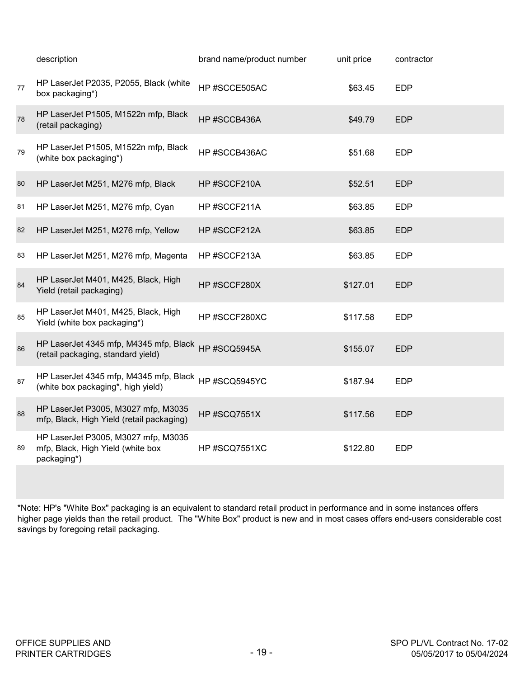|    | description                                                                             | brand name/product number | unit price | contractor |
|----|-----------------------------------------------------------------------------------------|---------------------------|------------|------------|
| 77 | HP LaserJet P2035, P2055, Black (white<br>box packaging*)                               | HP#SCCE505AC              | \$63.45    | <b>EDP</b> |
| 78 | HP LaserJet P1505, M1522n mfp, Black<br>(retail packaging)                              | HP#SCCB436A               | \$49.79    | <b>EDP</b> |
| 79 | HP LaserJet P1505, M1522n mfp, Black<br>(white box packaging*)                          | HP#SCCB436AC              | \$51.68    | <b>EDP</b> |
| 80 | HP LaserJet M251, M276 mfp, Black                                                       | HP#SCCF210A               | \$52.51    | <b>EDP</b> |
| 81 | HP LaserJet M251, M276 mfp, Cyan                                                        | HP#SCCF211A               | \$63.85    | <b>EDP</b> |
| 82 | HP LaserJet M251, M276 mfp, Yellow                                                      | HP#SCCF212A               | \$63.85    | <b>EDP</b> |
| 83 | HP LaserJet M251, M276 mfp, Magenta                                                     | HP#SCCF213A               | \$63.85    | <b>EDP</b> |
| 84 | HP LaserJet M401, M425, Black, High<br>Yield (retail packaging)                         | HP#SCCF280X               | \$127.01   | <b>EDP</b> |
| 85 | HP LaserJet M401, M425, Black, High<br>Yield (white box packaging*)                     | HP#SCCF280XC              | \$117.58   | <b>EDP</b> |
| 86 | HP LaserJet 4345 mfp, M4345 mfp, Black<br>(retail packaging, standard yield)            | HP#SCQ5945A               | \$155.07   | <b>EDP</b> |
| 87 | HP LaserJet 4345 mfp, M4345 mfp, Black<br>(white box packaging*, high yield)            | HP#SCQ5945YC              | \$187.94   | <b>EDP</b> |
| 88 | HP LaserJet P3005, M3027 mfp, M3035<br>mfp, Black, High Yield (retail packaging)        | HP#SCQ7551X               | \$117.56   | <b>EDP</b> |
| 89 | HP LaserJet P3005, M3027 mfp, M3035<br>mfp, Black, High Yield (white box<br>packaging*) | HP#SCQ7551XC              | \$122.80   | <b>EDP</b> |

\*Note: HP's "White Box" packaging is an equivalent to standard retail product in performance and in some instances offers higher page yields than the retail product. The "White Box" product is new and in most cases offers end-users considerable cost savings by foregoing retail packaging.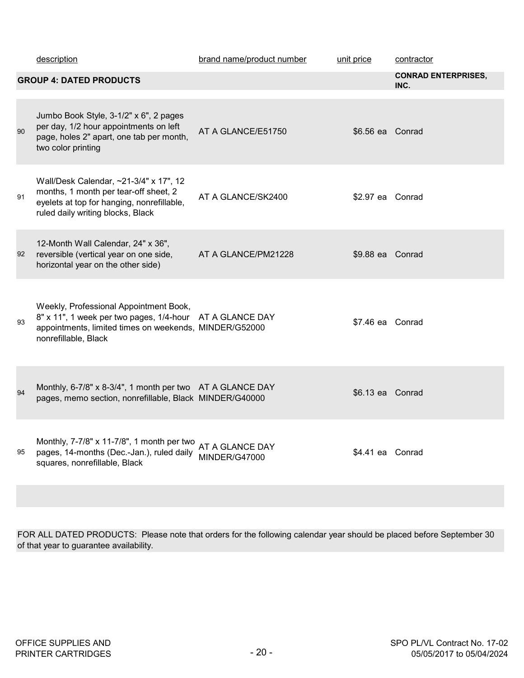|    | description                                                                                                                                                          | brand name/product number               | unit price       | contractor                         |
|----|----------------------------------------------------------------------------------------------------------------------------------------------------------------------|-----------------------------------------|------------------|------------------------------------|
|    | <b>GROUP 4: DATED PRODUCTS</b>                                                                                                                                       |                                         |                  | <b>CONRAD ENTERPRISES,</b><br>INC. |
| 90 | Jumbo Book Style, 3-1/2" x 6", 2 pages<br>per day, 1/2 hour appointments on left<br>page, holes 2" apart, one tab per month,<br>two color printing                   | AT A GLANCE/E51750                      | \$6.56 ea Conrad |                                    |
| 91 | Wall/Desk Calendar, ~21-3/4" x 17", 12<br>months, 1 month per tear-off sheet, 2<br>eyelets at top for hanging, nonrefillable,<br>ruled daily writing blocks, Black   | AT A GLANCE/SK2400                      | \$2.97 ea Conrad |                                    |
| 92 | 12-Month Wall Calendar, 24" x 36",<br>reversible (vertical year on one side,<br>horizontal year on the other side)                                                   | AT A GLANCE/PM21228                     | \$9.88 ea Conrad |                                    |
| 93 | Weekly, Professional Appointment Book,<br>8" x 11", 1 week per two pages, 1/4-hour<br>appointments, limited times on weekends, MINDER/G52000<br>nonrefillable, Black | AT A GLANCE DAY                         | \$7.46 ea Conrad |                                    |
| 94 | Monthly, 6-7/8" x 8-3/4", 1 month per two AT A GLANCE DAY<br>pages, memo section, nonrefillable, Black MINDER/G40000                                                 |                                         | \$6.13 ea Conrad |                                    |
| 95 | Monthly, 7-7/8" x 11-7/8", 1 month per two<br>pages, 14-months (Dec.-Jan.), ruled daily<br>squares, nonrefillable, Black                                             | AT A GLANCE DAY<br><b>MINDER/G47000</b> | \$4.41 ea Conrad |                                    |

FOR ALL DATED PRODUCTS: Please note that orders for the following calendar year should be placed before September 30 of that year to guarantee availability.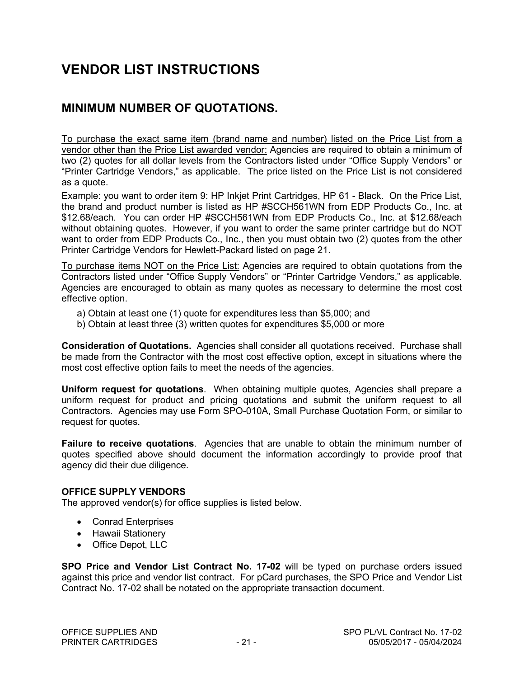## **VENDOR LIST INSTRUCTIONS**

## **MINIMUM NUMBER OF QUOTATIONS.**

To purchase the exact same item (brand name and number) listed on the Price List from a vendor other than the Price List awarded vendor: Agencies are required to obtain a minimum of two (2) quotes for all dollar levels from the Contractors listed under "Office Supply Vendors" or "Printer Cartridge Vendors," as applicable. The price listed on the Price List is not considered as a quote.

Example: you want to order item 9: HP Inkjet Print Cartridges, HP 61 - Black. On the Price List, the brand and product number is listed as HP #SCCH561WN from EDP Products Co., Inc. at \$12.68/each. You can order HP #SCCH561WN from EDP Products Co., Inc. at \$12.68/each without obtaining quotes. However, if you want to order the same printer cartridge but do NOT want to order from EDP Products Co., Inc., then you must obtain two (2) quotes from the other Printer Cartridge Vendors for Hewlett-Packard listed on page 21.

To purchase items NOT on the Price List: Agencies are required to obtain quotations from the Contractors listed under "Office Supply Vendors" or "Printer Cartridge Vendors," as applicable. Agencies are encouraged to obtain as many quotes as necessary to determine the most cost effective option.

- a) Obtain at least one (1) quote for expenditures less than \$5,000; and
- b) Obtain at least three (3) written quotes for expenditures \$5,000 or more

**Consideration of Quotations.** Agencies shall consider all quotations received. Purchase shall be made from the Contractor with the most cost effective option, except in situations where the most cost effective option fails to meet the needs of the agencies.

**Uniform request for quotations**. When obtaining multiple quotes, Agencies shall prepare a uniform request for product and pricing quotations and submit the uniform request to all Contractors. Agencies may use Form SPO-010A, Small Purchase Quotation Form, or similar to request for quotes.

**Failure to receive quotations**. Agencies that are unable to obtain the minimum number of quotes specified above should document the information accordingly to provide proof that agency did their due diligence.

#### **OFFICE SUPPLY VENDORS**

The approved vendor(s) for office supplies is listed below.

- Conrad Enterprises
- Hawaii Stationery
- Office Depot, LLC

**SPO Price and Vendor List Contract No. 17-02** will be typed on purchase orders issued against this price and vendor list contract. For pCard purchases, the SPO Price and Vendor List Contract No. 17-02 shall be notated on the appropriate transaction document.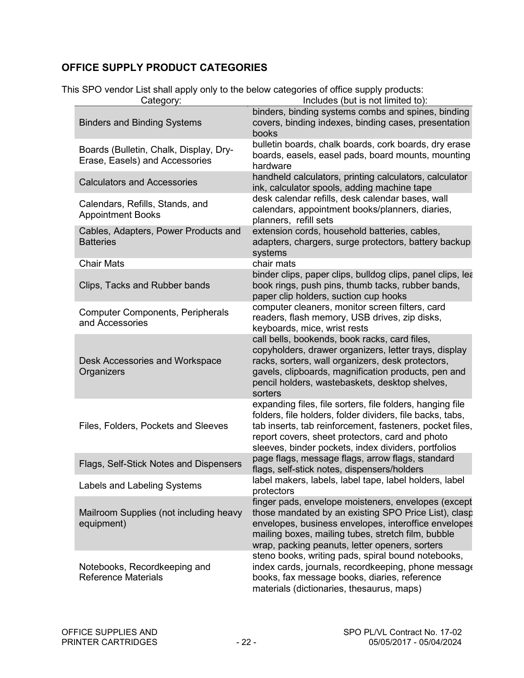## **OFFICE SUPPLY PRODUCT CATEGORIES**

|  |  | This SPO vendor List shall apply only to the below categories of office supply products: |
|--|--|------------------------------------------------------------------------------------------|
|  |  |                                                                                          |

| Category:                                                                | Includes (but is not limited to):                                                                                                                                                                                                                                                            |
|--------------------------------------------------------------------------|----------------------------------------------------------------------------------------------------------------------------------------------------------------------------------------------------------------------------------------------------------------------------------------------|
| <b>Binders and Binding Systems</b>                                       | binders, binding systems combs and spines, binding<br>covers, binding indexes, binding cases, presentation<br>books                                                                                                                                                                          |
| Boards (Bulletin, Chalk, Display, Dry-<br>Erase, Easels) and Accessories | bulletin boards, chalk boards, cork boards, dry erase<br>boards, easels, easel pads, board mounts, mounting<br>hardware                                                                                                                                                                      |
| <b>Calculators and Accessories</b>                                       | handheld calculators, printing calculators, calculator<br>ink, calculator spools, adding machine tape                                                                                                                                                                                        |
| Calendars, Refills, Stands, and<br><b>Appointment Books</b>              | desk calendar refills, desk calendar bases, wall<br>calendars, appointment books/planners, diaries,<br>planners, refill sets                                                                                                                                                                 |
| Cables, Adapters, Power Products and<br><b>Batteries</b>                 | extension cords, household batteries, cables,<br>adapters, chargers, surge protectors, battery backup<br>systems                                                                                                                                                                             |
| <b>Chair Mats</b>                                                        | chair mats                                                                                                                                                                                                                                                                                   |
| Clips, Tacks and Rubber bands                                            | binder clips, paper clips, bulldog clips, panel clips, lea<br>book rings, push pins, thumb tacks, rubber bands,<br>paper clip holders, suction cup hooks                                                                                                                                     |
| <b>Computer Components, Peripherals</b><br>and Accessories               | computer cleaners, monitor screen filters, card<br>readers, flash memory, USB drives, zip disks,<br>keyboards, mice, wrist rests                                                                                                                                                             |
| Desk Accessories and Workspace<br>Organizers                             | call bells, bookends, book racks, card files,<br>copyholders, drawer organizers, letter trays, display<br>racks, sorters, wall organizers, desk protectors,<br>gavels, clipboards, magnification products, pen and<br>pencil holders, wastebaskets, desktop shelves,<br>sorters              |
| Files, Folders, Pockets and Sleeves                                      | expanding files, file sorters, file folders, hanging file<br>folders, file holders, folder dividers, file backs, tabs,<br>tab inserts, tab reinforcement, fasteners, pocket files,<br>report covers, sheet protectors, card and photo<br>sleeves, binder pockets, index dividers, portfolios |
| Flags, Self-Stick Notes and Dispensers                                   | page flags, message flags, arrow flags, standard<br>flags, self-stick notes, dispensers/holders                                                                                                                                                                                              |
| Labels and Labeling Systems                                              | label makers, labels, label tape, label holders, label<br>protectors                                                                                                                                                                                                                         |
| Mailroom Supplies (not including heavy<br>equipment)                     | finger pads, envelope moisteners, envelopes (except<br>those mandated by an existing SPO Price List), clasp<br>envelopes, business envelopes, interoffice envelopes<br>mailing boxes, mailing tubes, stretch film, bubble<br>wrap, packing peanuts, letter openers, sorters                  |
| Notebooks, Recordkeeping and<br><b>Reference Materials</b>               | steno books, writing pads, spiral bound notebooks,<br>index cards, journals, recordkeeping, phone message<br>books, fax message books, diaries, reference<br>materials (dictionaries, thesaurus, maps)                                                                                       |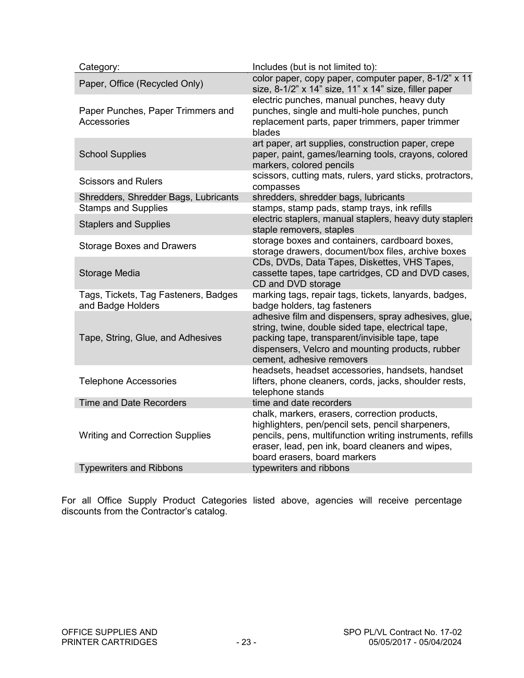| Category:                                                 | Includes (but is not limited to):                                                                                                                                                                                                                   |
|-----------------------------------------------------------|-----------------------------------------------------------------------------------------------------------------------------------------------------------------------------------------------------------------------------------------------------|
| Paper, Office (Recycled Only)                             | color paper, copy paper, computer paper, 8-1/2" x 11<br>size, 8-1/2" x 14" size, 11" x 14" size, filler paper<br>electric punches, manual punches, heavy duty                                                                                       |
| Paper Punches, Paper Trimmers and<br>Accessories          | punches, single and multi-hole punches, punch<br>replacement parts, paper trimmers, paper trimmer<br>blades                                                                                                                                         |
| <b>School Supplies</b>                                    | art paper, art supplies, construction paper, crepe<br>paper, paint, games/learning tools, crayons, colored<br>markers, colored pencils                                                                                                              |
| <b>Scissors and Rulers</b>                                | scissors, cutting mats, rulers, yard sticks, protractors,<br>compasses                                                                                                                                                                              |
| Shredders, Shredder Bags, Lubricants                      | shredders, shredder bags, lubricants                                                                                                                                                                                                                |
| <b>Stamps and Supplies</b>                                | stamps, stamp pads, stamp trays, ink refills                                                                                                                                                                                                        |
| <b>Staplers and Supplies</b>                              | electric staplers, manual staplers, heavy duty staplers<br>staple removers, staples                                                                                                                                                                 |
| <b>Storage Boxes and Drawers</b>                          | storage boxes and containers, cardboard boxes,<br>storage drawers, document/box files, archive boxes                                                                                                                                                |
| Storage Media                                             | CDs, DVDs, Data Tapes, Diskettes, VHS Tapes,<br>cassette tapes, tape cartridges, CD and DVD cases,<br>CD and DVD storage                                                                                                                            |
| Tags, Tickets, Tag Fasteners, Badges<br>and Badge Holders | marking tags, repair tags, tickets, lanyards, badges,<br>badge holders, tag fasteners                                                                                                                                                               |
| Tape, String, Glue, and Adhesives                         | adhesive film and dispensers, spray adhesives, glue,<br>string, twine, double sided tape, electrical tape,<br>packing tape, transparent/invisible tape, tape<br>dispensers, Velcro and mounting products, rubber<br>cement, adhesive removers       |
| <b>Telephone Accessories</b>                              | headsets, headset accessories, handsets, handset<br>lifters, phone cleaners, cords, jacks, shoulder rests,<br>telephone stands                                                                                                                      |
| <b>Time and Date Recorders</b>                            | time and date recorders                                                                                                                                                                                                                             |
| <b>Writing and Correction Supplies</b>                    | chalk, markers, erasers, correction products,<br>highlighters, pen/pencil sets, pencil sharpeners,<br>pencils, pens, multifunction writing instruments, refills<br>eraser, lead, pen ink, board cleaners and wipes,<br>board erasers, board markers |
| <b>Typewriters and Ribbons</b>                            | typewriters and ribbons                                                                                                                                                                                                                             |
|                                                           |                                                                                                                                                                                                                                                     |

For all Office Supply Product Categories listed above, agencies will receive percentage discounts from the Contractor's catalog.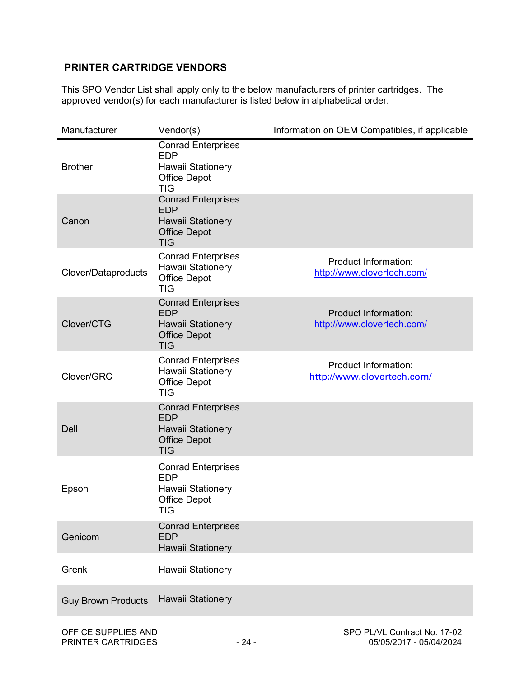### **PRINTER CARTRIDGE VENDORS**

This SPO Vendor List shall apply only to the below manufacturers of printer cartridges. The approved vendor(s) for each manufacturer is listed below in alphabetical order.

| Manufacturer               | Vendor(s)                                                                                                | Information on OEM Compatibles, if applicable             |
|----------------------------|----------------------------------------------------------------------------------------------------------|-----------------------------------------------------------|
| <b>Brother</b>             | <b>Conrad Enterprises</b><br><b>EDP</b><br>Hawaii Stationery<br><b>Office Depot</b><br><b>TIG</b>        |                                                           |
| Canon                      | <b>Conrad Enterprises</b><br><b>EDP</b><br><b>Hawaii Stationery</b><br><b>Office Depot</b><br><b>TIG</b> |                                                           |
| <b>Clover/Dataproducts</b> | <b>Conrad Enterprises</b><br>Hawaii Stationery<br><b>Office Depot</b><br><b>TIG</b>                      | <b>Product Information:</b><br>http://www.clovertech.com/ |
| Clover/CTG                 | <b>Conrad Enterprises</b><br><b>EDP</b><br><b>Hawaii Stationery</b><br><b>Office Depot</b><br><b>TIG</b> | <b>Product Information:</b><br>http://www.clovertech.com/ |
| Clover/GRC                 | <b>Conrad Enterprises</b><br>Hawaii Stationery<br><b>Office Depot</b><br><b>TIG</b>                      | <b>Product Information:</b><br>http://www.clovertech.com/ |
| Dell                       | <b>Conrad Enterprises</b><br><b>EDP</b><br><b>Hawaii Stationery</b><br><b>Office Depot</b><br><b>TIG</b> |                                                           |
| Epson                      | <b>Conrad Enterprises</b><br><b>EDP</b><br>Hawaii Stationery<br><b>Office Depot</b><br>TIG               |                                                           |
| Genicom                    | <b>Conrad Enterprises</b><br><b>EDP</b><br><b>Hawaii Stationery</b>                                      |                                                           |
| Grenk                      | Hawaii Stationery                                                                                        |                                                           |
| <b>Guy Brown Products</b>  | <b>Hawaii Stationery</b>                                                                                 |                                                           |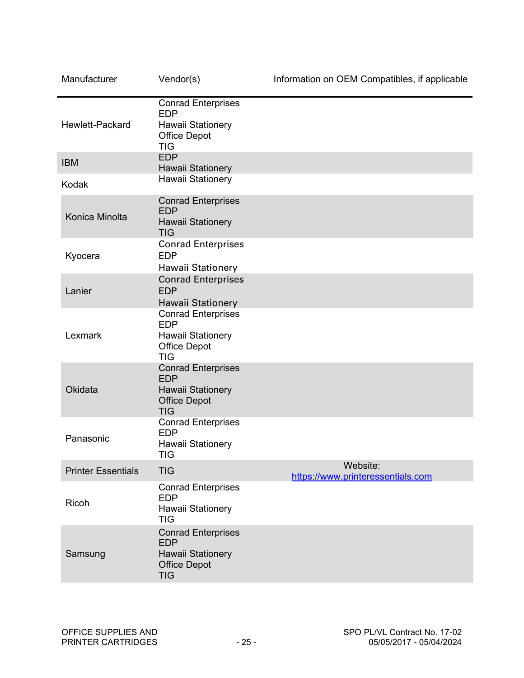| Manufacturer              | Vendor(s)                                                                                                | Information on OEM Compatibles, if applicable |
|---------------------------|----------------------------------------------------------------------------------------------------------|-----------------------------------------------|
| Hewlett-Packard           | <b>Conrad Enterprises</b><br><b>EDP</b><br>Hawaii Stationery<br><b>Office Depot</b><br><b>TIG</b>        |                                               |
| <b>IBM</b>                | <b>EDP</b><br><b>Hawaii Stationery</b>                                                                   |                                               |
| Kodak                     | Hawaii Stationery                                                                                        |                                               |
| Konica Minolta            | <b>Conrad Enterprises</b><br><b>EDP</b><br><b>Hawaii Stationery</b><br><b>TIG</b>                        |                                               |
| Kyocera                   | <b>Conrad Enterprises</b><br><b>EDP</b><br>Hawaii Stationery                                             |                                               |
| Lanier                    | <b>Conrad Enterprises</b><br><b>EDP</b><br>Hawaii Stationery                                             |                                               |
| Lexmark                   | <b>Conrad Enterprises</b><br><b>EDP</b><br>Hawaii Stationery<br><b>Office Depot</b><br><b>TIG</b>        |                                               |
| Okidata                   | <b>Conrad Enterprises</b><br><b>EDP</b><br><b>Hawaii Stationery</b><br><b>Office Depot</b><br><b>TIG</b> |                                               |
| Panasonic                 | <b>Conrad Enterprises</b><br><b>EDP</b><br>Hawaii Stationery<br><b>TIG</b>                               |                                               |
| <b>Printer Essentials</b> | <b>TIG</b>                                                                                               | Website:<br>https://www.printeressentials.com |
| Ricoh                     | <b>Conrad Enterprises</b><br><b>EDP</b><br>Hawaii Stationery<br><b>TIG</b>                               |                                               |
| Samsung                   | <b>Conrad Enterprises</b><br><b>EDP</b><br>Hawaii Stationery<br><b>Office Depot</b><br><b>TIG</b>        |                                               |